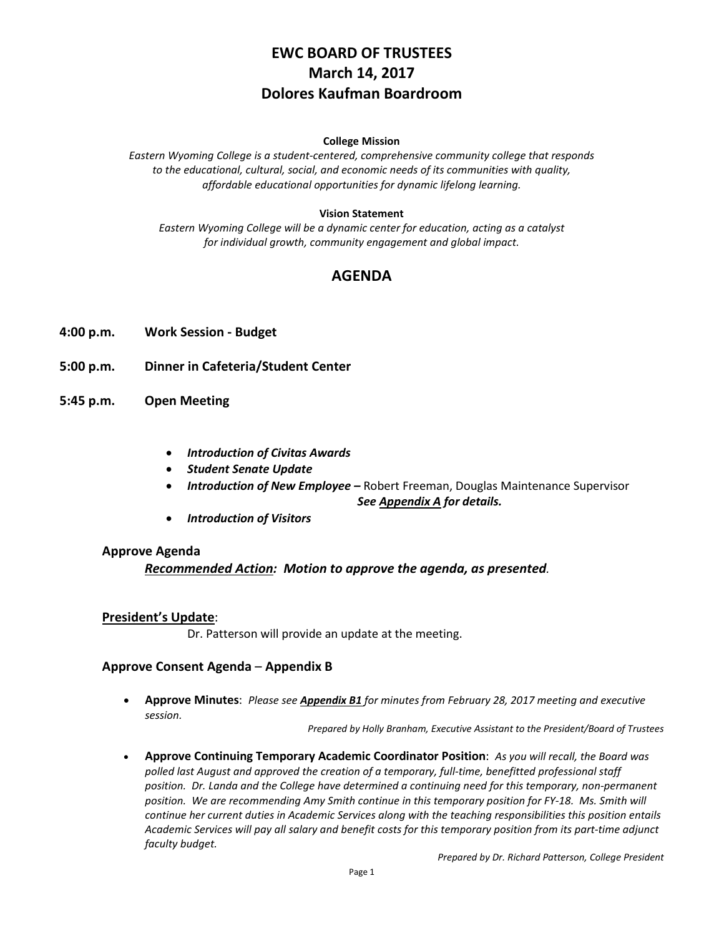# **EWC BOARD OF TRUSTEES March 14, 2017 Dolores Kaufman Boardroom**

#### **College Mission**

*Eastern Wyoming College is a student-centered, comprehensive community college that responds to the educational, cultural, social, and economic needs of its communities with quality, affordable educational opportunities for dynamic lifelong learning.*

### **Vision Statement**

*Eastern Wyoming College will be a dynamic center for education, acting as a catalyst for individual growth, community engagement and global impact.*

## **AGENDA**

- **4:00 p.m. Work Session - Budget**
- **5:00 p.m. Dinner in Cafeteria/Student Center**
- **5:45 p.m. Open Meeting**
	- *Introduction of Civitas Awards*
	- *Student Senate Update*
	- *Introduction of New Employee* Robert Freeman, Douglas Maintenance Supervisor

*See Appendix A for details.*

• *Introduction of Visitors*

### **Approve Agenda**

### *Recommended Action: Motion to approve the agenda, as presented.*

### **President's Update**:

Dr. Patterson will provide an update at the meeting.

### **Approve Consent Agenda** – **Appendix B**

• **Approve Minutes**: *Please see Appendix B1 for minutes from February 28, 2017 meeting and executive session.*

*Prepared by Holly Branham, Executive Assistant to the President/Board of Trustees*

• **Approve Continuing Temporary Academic Coordinator Position**: *As you will recall, the Board was polled last August and approved the creation of a temporary, full-time, benefitted professional staff position. Dr. Landa and the College have determined a continuing need for this temporary, non-permanent position. We are recommending Amy Smith continue in this temporary position for FY-18. Ms. Smith will continue her current duties in Academic Services along with the teaching responsibilities this position entails Academic Services will pay all salary and benefit costs for this temporary position from its part-time adjunct faculty budget.*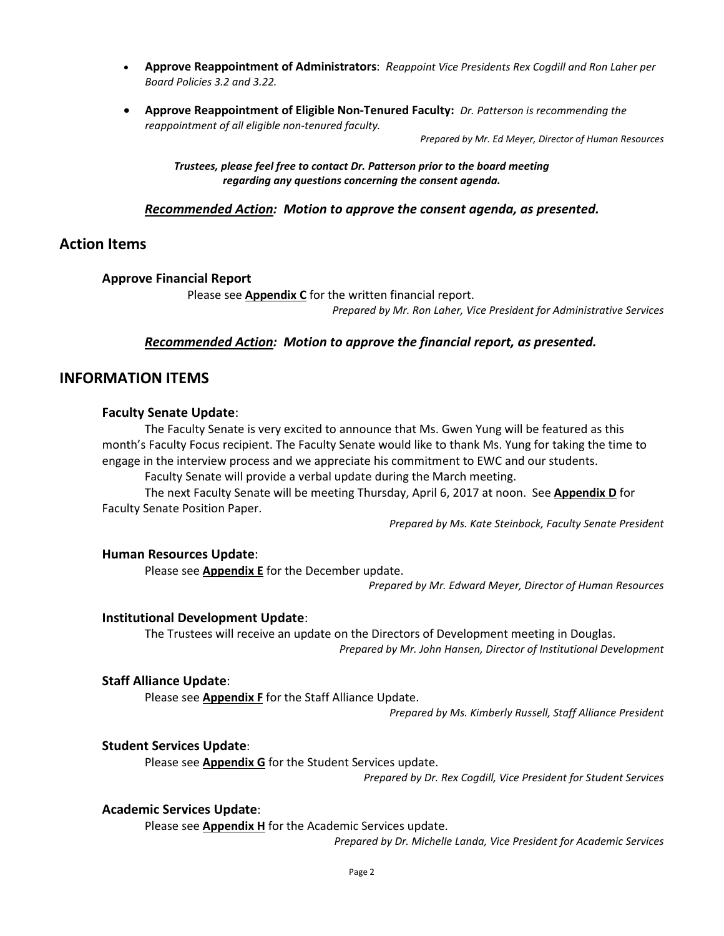- **Approve Reappointment of Administrators**: *Reappoint Vice Presidents Rex Cogdill and Ron Laher per Board Policies 3.2 and 3.22.*
- **Approve Reappointment of Eligible Non-Tenured Faculty:** *Dr. Patterson is recommending the reappointment of all eligible non-tenured faculty.*

*Prepared by Mr. Ed Meyer, Director of Human Resources* 

*Trustees, please feel free to contact Dr. Patterson prior to the board meeting regarding any questions concerning the consent agenda.*

### *Recommended Action: Motion to approve the consent agenda, as presented.*

### **Action Items**

### **Approve Financial Report**

Please see **Appendix C** for the written financial report. *Prepared by Mr. Ron Laher, Vice President for Administrative Services*

### *Recommended Action: Motion to approve the financial report, as presented.*

### **INFORMATION ITEMS**

### **Faculty Senate Update**:

The Faculty Senate is very excited to announce that Ms. Gwen Yung will be featured as this month's Faculty Focus recipient. The Faculty Senate would like to thank Ms. Yung for taking the time to engage in the interview process and we appreciate his commitment to EWC and our students.

Faculty Senate will provide a verbal update during the March meeting.

The next Faculty Senate will be meeting Thursday, April 6, 2017 at noon. See **Appendix D** for Faculty Senate Position Paper.

*Prepared by Ms. Kate Steinbock, Faculty Senate President*

### **Human Resources Update**:

Please see **Appendix E** for the December update.

*Prepared by Mr. Edward Meyer, Director of Human Resources*

### **Institutional Development Update**:

The Trustees will receive an update on the Directors of Development meeting in Douglas. *Prepared by Mr. John Hansen, Director of Institutional Development*

### **Staff Alliance Update**:

Please see **Appendix F** for the Staff Alliance Update.

*Prepared by Ms. Kimberly Russell, Staff Alliance President* 

### **Student Services Update**:

Please see **Appendix G** for the Student Services update.

*Prepared by Dr. Rex Cogdill, Vice President for Student Services*

### **Academic Services Update**:

Please see **Appendix H** for the Academic Services update.

*Prepared by Dr. Michelle Landa, Vice President for Academic Services*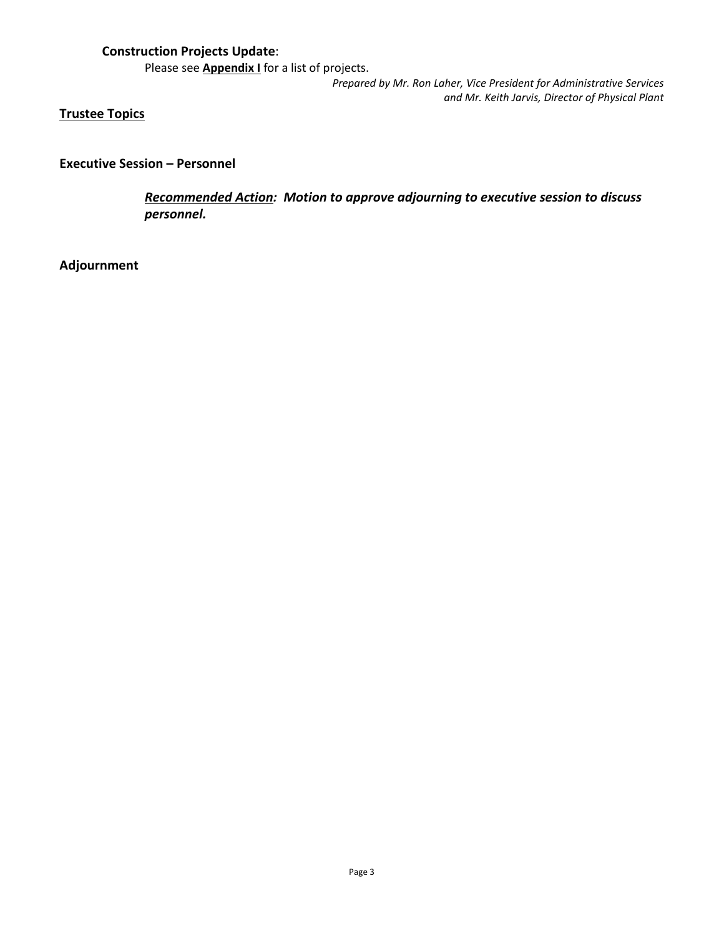## **Construction Projects Update**:

Please see **Appendix I** for a list of projects.

*Prepared by Mr. Ron Laher, Vice President for Administrative Services and Mr. Keith Jarvis, Director of Physical Plant*

## **Trustee Topics**

**Executive Session – Personnel**

*Recommended Action: Motion to approve adjourning to executive session to discuss personnel.*

## **Adjournment**